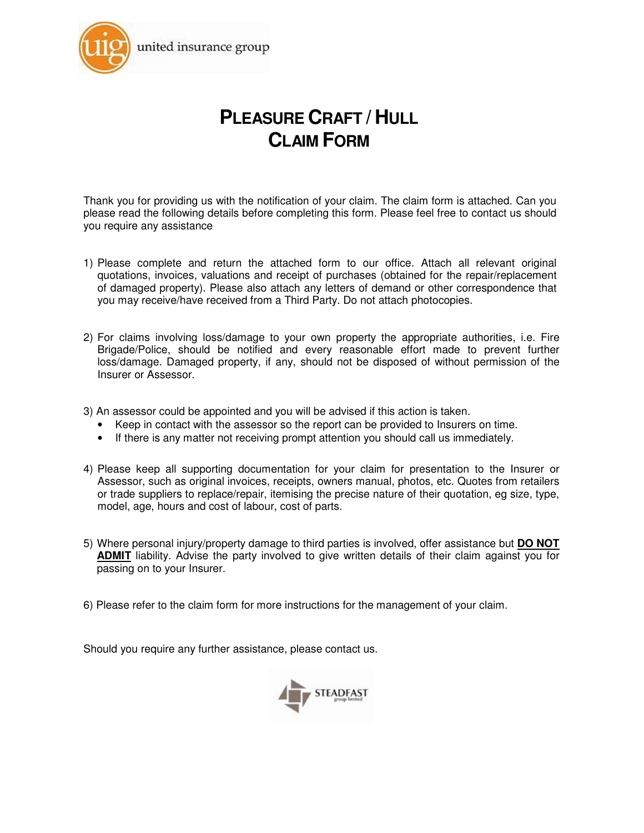

# **PLEASURE CRAFT / HULL CLAIM FORM**

Thank you for providing us with the notification of your claim. The claim form is attached. Can you please read the following details before completing this form. Please feel free to contact us should you require any assistance

- 1) Please complete and return the attached form to our office. Attach all relevant original quotations, invoices, valuations and receipt of purchases (obtained for the repair/replacement of damaged property). Please also attach any letters of demand or other correspondence that you may receive/have received from a Third Party. Do not attach photocopies.
- 2) For claims involving loss/damage to your own property the appropriate authorities, i.e. Fire Brigade/Police, should be notified and every reasonable effort made to prevent further loss/damage. Damaged property, if any, should not be disposed of without permission of the Insurer or Assessor.
- 3) An assessor could be appointed and you will be advised if this action is taken.
	- Keep in contact with the assessor so the report can be provided to Insurers on time.
	- If there is any matter not receiving prompt attention you should call us immediately.
- 4) Please keep all supporting documentation for your claim for presentation to the Insurer or Assessor, such as original invoices, receipts, owners manual, photos, etc. Quotes from retailers or trade suppliers to replace/repair, itemising the precise nature of their quotation, eg size, type, model, age, hours and cost of labour, cost of parts.
- 5) Where personal injury/property damage to third parties is involved, offer assistance but **DO NOT ADMIT** liability. Advise the party involved to give written details of their claim against you for passing on to your Insurer.
- 6) Please refer to the claim form for more instructions for the management of your claim.

Should you require any further assistance, please contact us.

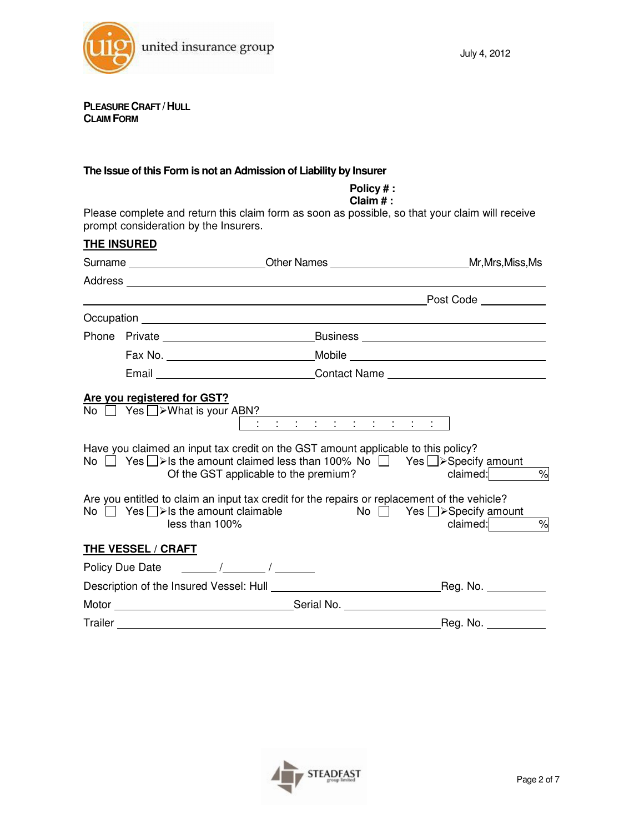

**PLEASURE CRAFT /HULL CLAIM FORM**

#### **The Issue of this Form is not an Admission of Liability by Insurer**

**Policy # : Claim # :**  Please complete and return this claim form as soon as possible, so that your claim will receive prompt consideration by the Insurers. **THE INSURED** Surname **Community Community Community Community** Other Names **Mr,Mrs,Miss,Ms** Address Post Code Occupation experience and the contract of the contract of the contract of the contract of the contract of the contract of the contract of the contract of the contract of the contract of the contract of the contract of the Phone Private **Business Business Business Business Business Business Business Business** Fax No. 2008 Mobile Mobile Mobile 2008 Mobile 2008 Mobile 2008 Mobile 2008 Mobile 2008 Mobile 2008 Mobile 2008 Email Contact Name **Are you registered for GST?**  $\overline{No}$   $\overline{O}$  Yes  $\Box$  > What is your ABN? : : : : : : : : : : Have you claimed an input tax credit on the GST amount applicable to this policy? No  $\Box$  Yes  $\Box$ > Is the amount claimed less than 100% No  $\Box$  Yes  $\Box$ > Specify amount Of the GST applicable to the premium? claimed: claimed:  $\frac{\%}{\%}$ Are you entitled to claim an input tax credit for the repairs or replacement of the vehicle? No  $\Box$  Yes  $\Box$ > Is the amount claimable  $\Box$  Yes  $\Box$ > Specify amount less than 100%  $claimed:$   $\%$ **THE VESSEL / CRAFT** Policy Due Date / / Description of the Insured Vessel: Hull Reg. No. Motor Serial No. Trailer Reg. No.

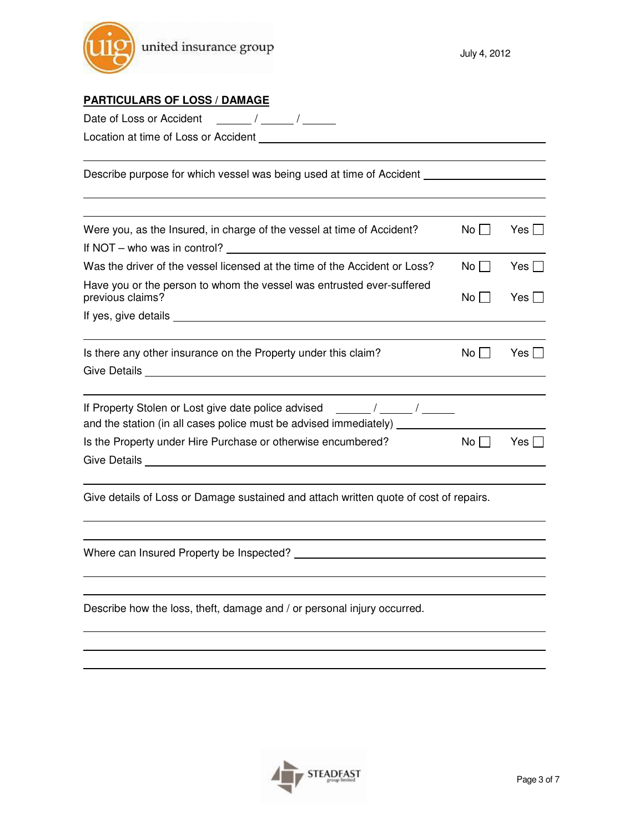

| <u> PARTICULARS OF LOSS / DAMAGE</u>                                                                                                                                            |           |            |
|---------------------------------------------------------------------------------------------------------------------------------------------------------------------------------|-----------|------------|
|                                                                                                                                                                                 |           |            |
| Location at time of Loss or Accident <b>container and the contact of Loss or Accident</b>                                                                                       |           |            |
| Describe purpose for which vessel was being used at time of Accident                                                                                                            |           |            |
| Were you, as the Insured, in charge of the vessel at time of Accident?                                                                                                          | No        | Yes $\Box$ |
| If NOT $-$ who was in control? $\sqrt{2}$                                                                                                                                       |           |            |
| Was the driver of the vessel licensed at the time of the Accident or Loss?                                                                                                      | $No \Box$ | Yes $\Box$ |
| Have you or the person to whom the vessel was entrusted ever-suffered<br>previous claims?                                                                                       | No        | Yes $\Box$ |
|                                                                                                                                                                                 |           |            |
| Is there any other insurance on the Property under this claim?                                                                                                                  | No        | Yes $\Box$ |
|                                                                                                                                                                                 |           |            |
| If Property Stolen or Lost give date police advised ______/____/_____/<br>and the station (in all cases police must be advised immediately) _____________                       |           |            |
| Is the Property under Hire Purchase or otherwise encumbered?<br>Give Details and the state of the state of the state of the state of the state of the state of the state of the | $No \Box$ | Yes $\Box$ |
| Give details of Loss or Damage sustained and attach written quote of cost of repairs.                                                                                           |           |            |
|                                                                                                                                                                                 |           |            |
|                                                                                                                                                                                 |           |            |
| Describe how the loss, theft, damage and / or personal injury occurred.                                                                                                         |           |            |
|                                                                                                                                                                                 |           |            |

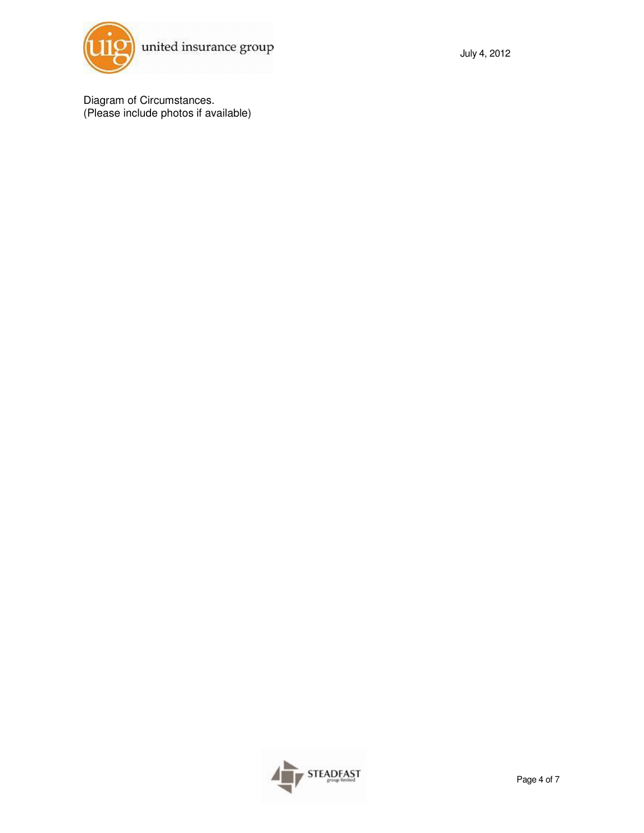

Diagram of Circumstances. (Please include photos if available)

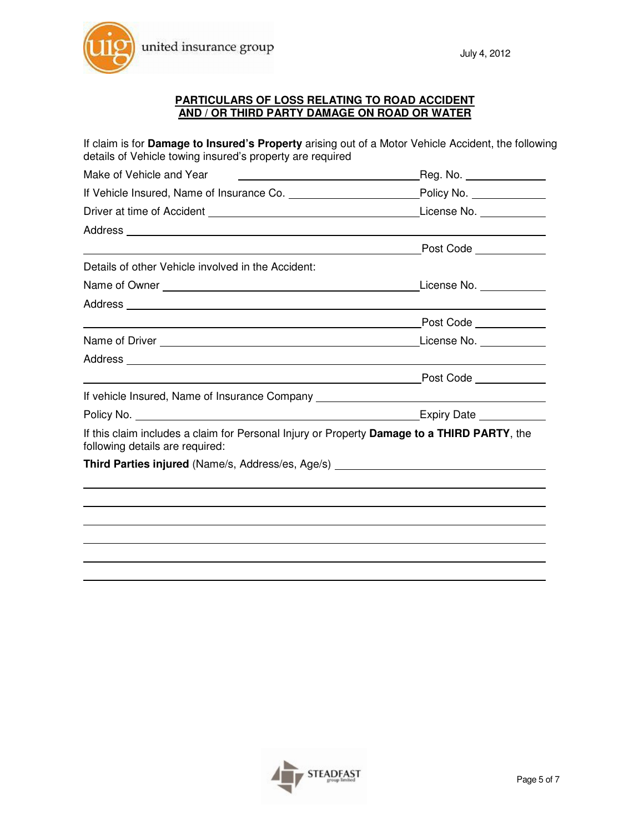

#### **PARTICULARS OF LOSS RELATING TO ROAD ACCIDENT AND / OR THIRD PARTY DAMAGE ON ROAD OR WATER**

If claim is for **Damage to Insured's Property** arising out of a Motor Vehicle Accident, the following details of Vehicle towing insured's property are required Make of Vehicle and Year **Reg. No.** All the Make of Vehicle and Year Reg. No. If Vehicle Insured, Name of Insurance Co. Policy No. Driver at time of Accident License No. 2012 12:00:00 License No. 2012 12:00:00 License No. **Address** Post Code <u>Denissance</u> Details of other Vehicle involved in the Accident: Name of Owner **License No.** Name of Owner  $\sim$  2008. Address and the contract of the contract of the contract of the contract of the contract of the contract of the contract of the contract of the contract of the contract of the contract of the contract of the contract of th Post Code **Post** Name of Driver License No. Address and the contract of the contract of the contract of the contract of the contract of the contract of the contract of the contract of the contract of the contract of the contract of the contract of the contract of th Post Code **Propriate Act Advanturer** If vehicle Insured, Name of Insurance Company Policy No. **Expiry Date** If this claim includes a claim for Personal Injury or Property **Damage to a THIRD PARTY**, the following details are required: **Third Parties injured** (Name/s, Address/es, Age/s)

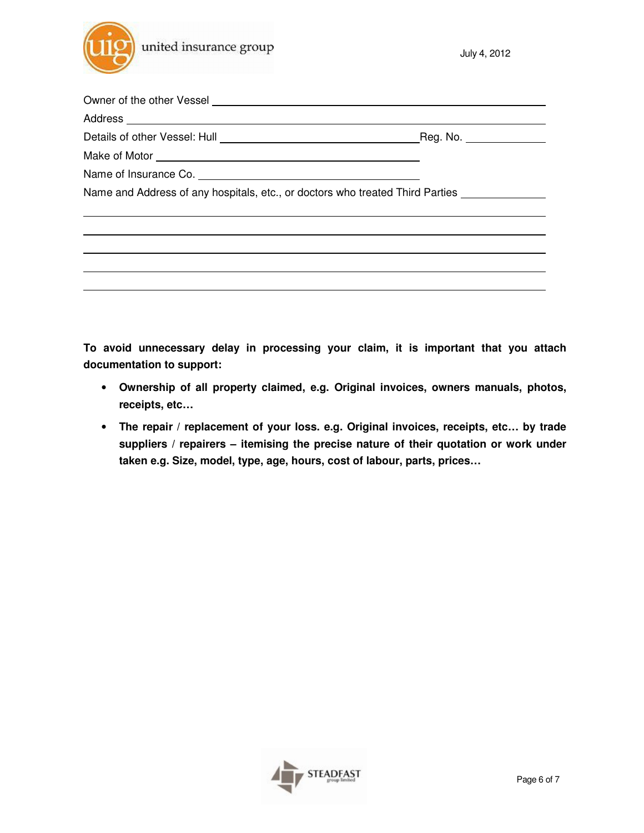

Owner of the other Vessel Address Details of other Vessel: Hull **Construction Construction** Reg. No. \_\_\_\_\_\_\_\_\_\_\_\_\_\_\_ Make of Motor **contains the Motor of Motor**  $\sim$ Name of Insurance Co. \_\_\_\_\_\_\_\_\_ Name and Address of any hospitals, etc., or doctors who treated Third Parties

**To avoid unnecessary delay in processing your claim, it is important that you attach documentation to support:** 

- **Ownership of all property claimed, e.g. Original invoices, owners manuals, photos, receipts, etc…**
- **The repair / replacement of your loss. e.g. Original invoices, receipts, etc… by trade suppliers / repairers – itemising the precise nature of their quotation or work under taken e.g. Size, model, type, age, hours, cost of labour, parts, prices…**